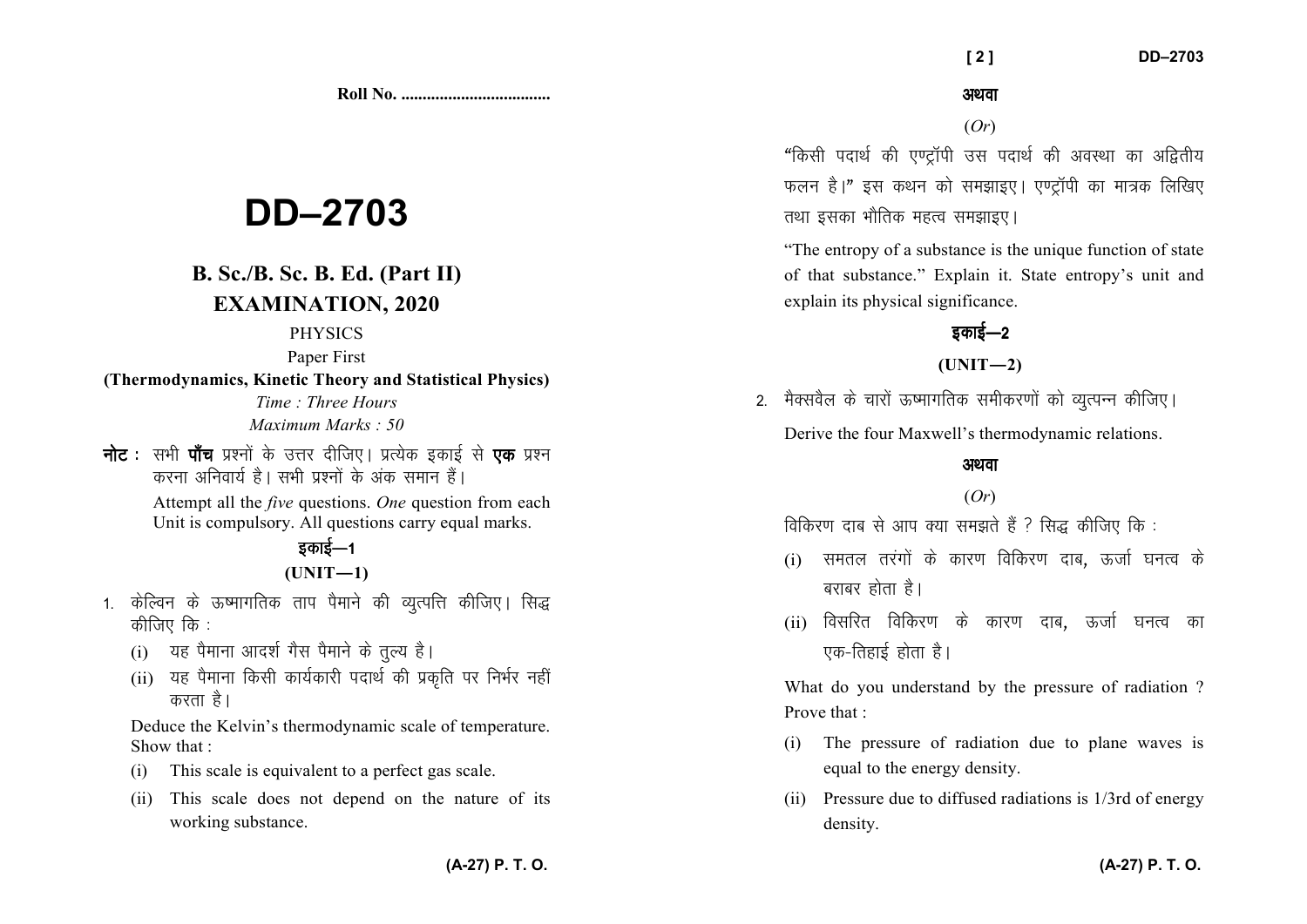**Roll No. ...................................** 

# **DD–2703**

# **B. Sc./B. Sc. B. Ed. (Part II) EXAMINATION, 2020**

#### PHYSICS

Paper First

**(Thermodynamics, Kinetic Theory and Statistical Physics)**

*Time : Three Hours Maximum Marks : 50*

**नोट** : सभी **पाँच** प्रश्नों के उत्तर दीजिए। प्रत्येक इकाई से **एक** प्रश्न करना अनिवार्य है। सभी प्रश्नों के अंक समान हैं।

> Attempt all the *five* questions. *One* question from each Unit is compulsory. All questions carry equal marks.

## डकाई—1  $(UNIT-1)$

- 1. केल्विन के ऊष्मागतिक ताप पैमाने की व्युत्पत्ति कीजिए। सिद्ध कीजिए $\frac{1}{2}$ िके $\frac{1}{2}$ 
	- $(i)$  यह पैमाना आदर्श गैस पैमाने के तल्य है।
	- (ii) यह पैमाना किसी कार्यकारी पदार्थ की प्रकृति पर निर्भर नहीं करता है।

Deduce the Kelvin's thermodynamic scale of temperature. Show that :

- (i) This scale is equivalent to a perfect gas scale.
- (ii) This scale does not depend on the nature of its working substance.

अथवा

(*Or*)

"किसी पदार्थ की एण्टॉपी उस पदार्थ की अवस्था का अद्वितीय फलन है।" इस कथन को समझाइए। एण्टॉपी का मात्रक लिखिए तथा इसका भौतिक महत्व समझाइए।

"The entropy of a substance is the unique function of state of that substance." Explain it. State entropy's unit and explain its physical significance.

# डकाई—2

## **(UNIT—2)**

2. मैक्सवैल के चारों ऊष्मागतिक समीकरणों को व्युत्पन्न कीजिए। Derive the four Maxwell's thermodynamic relations.

## अथवा

## (*Or*)

विकिरण दाब से आप क्या समझते हैं ? सिद्ध कीजिए कि :

- $(i)$  समतल तरंगों के कारण विकिरण दाब, ऊर्जा घनत्व के बराबर होता है।
- $(ii)$  विसरित विकिरण के कारण दाब, ऊर्जा घनत्व का एक-तिहाई होता है।

What do you understand by the pressure of radiation ? Prove that :

- (i) The pressure of radiation due to plane waves isequal to the energy density.
- (ii) Pressure due to diffused radiations is 1/3rd of energy density.